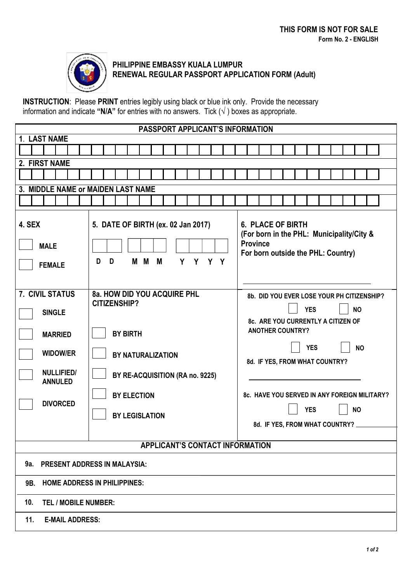

## **PHILIPPINE EMBASSY KUALA LUMPUR RENEWAL REGULAR PASSPORT APPLICATION FORM (Adult)**

**INSTRUCTION**: Please **PRINT** entries legibly using black or blue ink only. Provide the necessary information and indicate **"N/A"** for entries with no answers. Tick (√ ) boxes as appropriate.

| PASSPORT APPLICANT'S INFORMATION           |                                                                           |                                                                                                                                |  |  |  |
|--------------------------------------------|---------------------------------------------------------------------------|--------------------------------------------------------------------------------------------------------------------------------|--|--|--|
| 1. LAST NAME                               |                                                                           |                                                                                                                                |  |  |  |
|                                            |                                                                           |                                                                                                                                |  |  |  |
| 2. FIRST NAME                              |                                                                           |                                                                                                                                |  |  |  |
|                                            |                                                                           |                                                                                                                                |  |  |  |
| 3. MIDDLE NAME or MAIDEN LAST NAME         |                                                                           |                                                                                                                                |  |  |  |
|                                            |                                                                           |                                                                                                                                |  |  |  |
| 4. SEX<br><b>MALE</b><br><b>FEMALE</b>     | 5. DATE OF BIRTH (ex. 02 Jan 2017)<br>D<br>D<br>M M<br>M<br>Y<br>Y<br>Y Y | <b>6. PLACE OF BIRTH</b><br>(For born in the PHL: Municipality/City &<br><b>Province</b><br>For born outside the PHL: Country) |  |  |  |
| <b>7. CIVIL STATUS</b>                     | 8a. HOW DID YOU ACQUIRE PHL                                               | 8b. DID YOU EVER LOSE YOUR PH CITIZENSHIP?                                                                                     |  |  |  |
| <b>SINGLE</b>                              | <b>CITIZENSHIP?</b>                                                       | <b>YES</b><br><b>NO</b>                                                                                                        |  |  |  |
|                                            |                                                                           | 8c. ARE YOU CURRENTLY A CITIZEN OF                                                                                             |  |  |  |
| <b>MARRIED</b>                             | <b>BY BIRTH</b>                                                           | <b>ANOTHER COUNTRY?</b><br><b>YES</b><br><b>NO</b><br>8d. IF YES, FROM WHAT COUNTRY?                                           |  |  |  |
| <b>WIDOW/ER</b>                            | <b>BY NATURALIZATION</b>                                                  |                                                                                                                                |  |  |  |
| <b>NULLIFIED/</b><br><b>ANNULED</b>        | BY RE-ACQUISITION (RA no. 9225)                                           |                                                                                                                                |  |  |  |
|                                            | <b>BY ELECTION</b>                                                        | 8c. HAVE YOU SERVED IN ANY FOREIGN MILITARY?                                                                                   |  |  |  |
| <b>DIVORCED</b>                            |                                                                           | <b>YES</b><br><b>NO</b>                                                                                                        |  |  |  |
|                                            | <b>BY LEGISLATION</b>                                                     | 8d. IF YES, FROM WHAT COUNTRY? .                                                                                               |  |  |  |
|                                            |                                                                           |                                                                                                                                |  |  |  |
| <b>APPLICANT'S CONTACT INFORMATION</b>     |                                                                           |                                                                                                                                |  |  |  |
| <b>PRESENT ADDRESS IN MALAYSIA:</b><br>9а. |                                                                           |                                                                                                                                |  |  |  |
| 9B. HOME ADDRESS IN PHILIPPINES:           |                                                                           |                                                                                                                                |  |  |  |
| <b>TEL / MOBILE NUMBER:</b><br>10.         |                                                                           |                                                                                                                                |  |  |  |
| <b>E-MAIL ADDRESS:</b><br>11.              |                                                                           |                                                                                                                                |  |  |  |